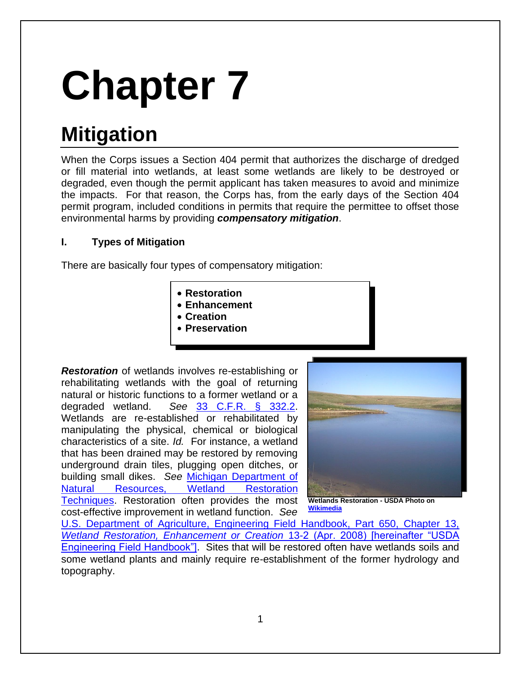# **Chapter 7**

# **Mitigation**

When the Corps issues a Section 404 permit that authorizes the discharge of dredged or fill material into wetlands, at least some wetlands are likely to be destroyed or degraded, even though the permit applicant has taken measures to avoid and minimize the impacts. For that reason, the Corps has, from the early days of the Section 404 permit program, included conditions in permits that require the permittee to offset those environmental harms by providing *compensatory mitigation*.

# **I. Types of Mitigation**

There are basically four types of compensatory mitigation:

- **Restoration • Enhancement**
- **Creation**
- **Preservation**

*Restoration* of wetlands involves re-establishing or rehabilitating wetlands with the goal of returning natural or historic functions to a former wetland or a degraded wetland. *See* [33 C.F.R. § 332.2.](http://www.law.cornell.edu/cfr/text/33/332.2) Wetlands are re-established or rehabilitated by manipulating the physical, chemical or biological characteristics of a site. *Id.* For instance, a wetland that has been drained may be restored by removing underground drain tiles, plugging open ditches, or building small dikes. *See* [Michigan Department of](http://www.dnr.state.mi.us/publications/pdfs/huntingwildlifehabitat/landowners_guide/habitat_mgmt/Wetland/Wetland_Restoration_Techniques.htm)  [Natural Resources, Wetland Restoration](http://www.dnr.state.mi.us/publications/pdfs/huntingwildlifehabitat/landowners_guide/habitat_mgmt/Wetland/Wetland_Restoration_Techniques.htm)  [Techniques.](http://www.dnr.state.mi.us/publications/pdfs/huntingwildlifehabitat/landowners_guide/habitat_mgmt/Wetland/Wetland_Restoration_Techniques.htm) Restoration often provides the most cost-effective improvement in wetland function. *See* 



**Wetlands Restoration - USDA Photo on [Wikimedia](http://commons.wikimedia.org/wiki/File:Wetlands_restoration_hughes_co_south_dakota.jpg)**

[U.S. Department of Agriculture, Engineering Field Handbook, Part 650, Chapter 13,](http://directives.sc.egov.usda.gov/17765.wba) *[Wetland Restoration, Enhancement or Creation](http://directives.sc.egov.usda.gov/17765.wba)* 13-2 (Apr. 2008) [hereinafter "USDA [Engineering Field Handbook"\].](http://directives.sc.egov.usda.gov/17765.wba) Sites that will be restored often have wetlands soils and some wetland plants and mainly require re-establishment of the former hydrology and topography.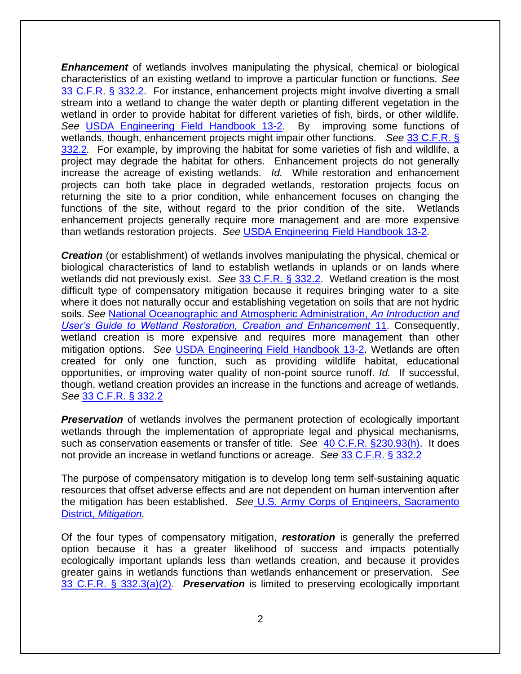*Enhancement* of wetlands involves manipulating the physical, chemical or biological characteristics of an existing wetland to improve a particular function or functions. *See*  [33 C.F.R. § 332.2.](http://www.law.cornell.edu/cfr/text/33/332.2) For instance, enhancement projects might involve diverting a small stream into a wetland to change the water depth or planting different vegetation in the wetland in order to provide habitat for different varieties of fish, birds, or other wildlife. *See* [USDA Engineering Field Handbook 13-2.](http://directives.sc.egov.usda.gov/17765.wba) By improving some functions of wetlands, though, enhancement projects might impair other functions. *See* [33 C.F.R. §](http://www.law.cornell.edu/cfr/text/33/332.2)  [332.2](http://www.law.cornell.edu/cfr/text/33/332.2)*.* For example, by improving the habitat for some varieties of fish and wildlife, a project may degrade the habitat for others. Enhancement projects do not generally increase the acreage of existing wetlands. *Id.* While restoration and enhancement projects can both take place in degraded wetlands, restoration projects focus on returning the site to a prior condition, while enhancement focuses on changing the functions of the site, without regard to the prior condition of the site. Wetlands enhancement projects generally require more management and are more expensive than wetlands restoration projects. *See* [USDA Engineering Field Handbook 13-2.](http://directives.sc.egov.usda.gov/17765.wba)

*Creation* (or establishment) of wetlands involves manipulating the physical, chemical or biological characteristics of land to establish wetlands in uplands or on lands where wetlands did not previously exist. *See* [33 C.F.R. § 332.2.](http://www.law.cornell.edu/cfr/text/33/332.2) Wetland creation is the most difficult type of compensatory mitigation because it requires bringing water to a site where it does not naturally occur and establishing vegetation on soils that are not hydric soils. *See* [National Oceanographic and Atmospheric Administration,](https://permanent.access.gpo.gov/gpo26134/pub_wetlands_restore_guide.pdf) *An Introduction and [User's Guide to Wetland Restoration, Creation and Enhancement](https://permanent.access.gpo.gov/gpo26134/pub_wetlands_restore_guide.pdf)* 11. Consequently, wetland creation is more expensive and requires more management than other mitigation options. *See* [USDA Engineering Field Handbook 13-2.](http://directives.sc.egov.usda.gov/17765.wba) Wetlands are often created for only one function, such as providing wildlife habitat, educational opportunities, or improving water quality of non-point source runoff. *Id.* If successful, though, wetland creation provides an increase in the functions and acreage of wetlands. *See* [33 C.F.R. § 332.2](http://www.law.cornell.edu/cfr/text/33/332.2)

**Preservation** of wetlands involves the permanent protection of ecologically important wetlands through the implementation of appropriate legal and physical mechanisms, such as conservation easements or transfer of title. *See* [40 C.F.R. §230.93\(h\).](http://www.law.cornell.edu/cfr/text/40/230.93) It does not provide an increase in wetland functions or acreage. *See* [33 C.F.R. § 332.2](http://www.law.cornell.edu/cfr/text/33/332.2)

The purpose of compensatory mitigation is to develop long term self-sustaining aquatic resources that offset adverse effects and are not dependent on human intervention after the mitigation has been established. *See* [U.S. Army Corps of Engineers, Sacramento](http://www.spk.usace.army.mil/Missions/Regulatory/Mitigation.aspx)  District, *[Mitigation.](http://www.spk.usace.army.mil/Missions/Regulatory/Mitigation.aspx)*

Of the four types of compensatory mitigation, *restoration* is generally the preferred option because it has a greater likelihood of success and impacts potentially ecologically important uplands less than wetlands creation, and because it provides greater gains in wetlands functions than wetlands enhancement or preservation. *See* [33 C.F.R. § 332.3\(a\)\(2\).](http://www.law.cornell.edu/cfr/text/33/332.3) *Preservation* is limited to preserving ecologically important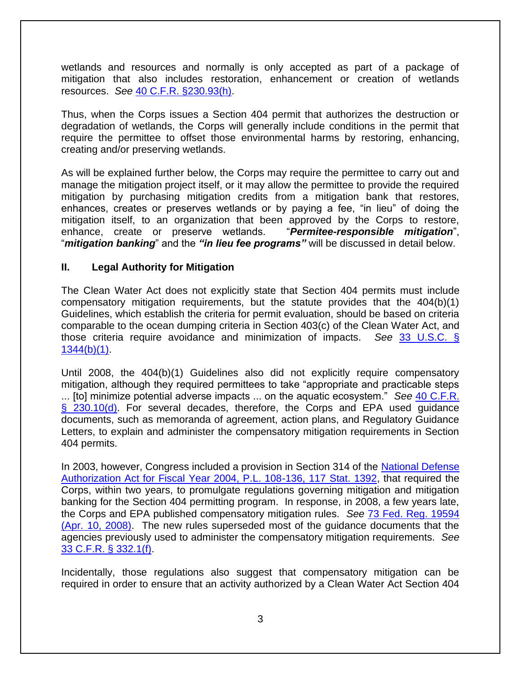wetlands and resources and normally is only accepted as part of a package of mitigation that also includes restoration, enhancement or creation of wetlands resources. *See* [40 C.F.R. §230.93\(h\).](http://www.law.cornell.edu/cfr/text/40/230.93)

Thus, when the Corps issues a Section 404 permit that authorizes the destruction or degradation of wetlands, the Corps will generally include conditions in the permit that require the permittee to offset those environmental harms by restoring, enhancing, creating and/or preserving wetlands.

As will be explained further below, the Corps may require the permittee to carry out and manage the mitigation project itself, or it may allow the permittee to provide the required mitigation by purchasing mitigation credits from a mitigation bank that restores, enhances, creates or preserves wetlands or by paying a fee, "in lieu" of doing the mitigation itself, to an organization that been approved by the Corps to restore, enhance, create or preserve wetlands. "*Permitee-responsible mitigation*", "*mitigation banking*" and the *"in lieu fee programs"* will be discussed in detail below.

### **II. Legal Authority for Mitigation**

The Clean Water Act does not explicitly state that Section 404 permits must include compensatory mitigation requirements, but the statute provides that the 404(b)(1) Guidelines, which establish the criteria for permit evaluation, should be based on criteria comparable to the ocean dumping criteria in Section 403(c) of the Clean Water Act, and those criteria require avoidance and minimization of impacts. *See* [33 U.S.C. §](http://www.law.cornell.edu/uscode/text/33/1344)   $1344(b)(1)$ .

Until 2008, the 404(b)(1) Guidelines also did not explicitly require compensatory mitigation, although they required permittees to take "appropriate and practicable steps ... [to] minimize potential adverse impacts ... on the aquatic ecosystem." *See* [40 C.F.R.](http://www.law.cornell.edu/cfr/text/40/230.10)  [§ 230.10\(d\).](http://www.law.cornell.edu/cfr/text/40/230.10) For several decades, therefore, the Corps and EPA used quidance documents, such as memoranda of agreement, action plans, and Regulatory Guidance Letters, to explain and administer the compensatory mitigation requirements in Section 404 permits.

In 2003, however, Congress included a provision in Section 314 of the [National Defense](http://www.gpo.gov/fdsys/pkg/PLAW-108publ136/html/PLAW-108publ136.htm)  [Authorization Act for Fiscal Year 2004, P.L. 108-136, 117 Stat. 1392,](http://www.gpo.gov/fdsys/pkg/PLAW-108publ136/html/PLAW-108publ136.htm) that required the Corps, within two years, to promulgate regulations governing mitigation and mitigation banking for the Section 404 permitting program. In response, in 2008, a few years late, the Corps and EPA published compensatory mitigation rules. *See* [73 Fed. Reg. 19594](https://www.federalregister.gov/documents/2008/04/10/E8-6918/compensatory-mitigation-for-losses-of-aquatic-resources)  [\(Apr. 10, 2008\).](https://www.federalregister.gov/documents/2008/04/10/E8-6918/compensatory-mitigation-for-losses-of-aquatic-resources) The new rules superseded most of the guidance documents that the agencies previously used to administer the compensatory mitigation requirements. *See*  [33 C.F.R. § 332.1\(f\).](http://www.law.cornell.edu/cfr/text/33/332.1)

Incidentally, those regulations also suggest that compensatory mitigation can be required in order to ensure that an activity authorized by a Clean Water Act Section 404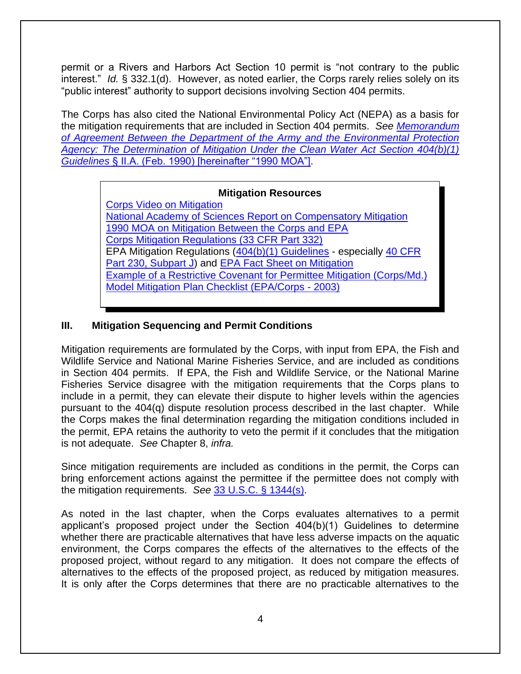permit or a Rivers and Harbors Act Section 10 permit is "not contrary to the public interest." *Id.* § 332.1(d). However, as noted earlier, the Corps rarely relies solely on its "public interest" authority to support decisions involving Section 404 permits.

The Corps has also cited the National Environmental Policy Act (NEPA) as a basis for the mitigation requirements that are included in Section 404 permits. *See [Memorandum](https://www.epa.gov/cwa-404/memorandum-agreemement-regarding-mitigation-under-cwa-section-404b1-guidelines-text)  [of Agreement Between the Department of the Army and the Environmental Protection](https://www.epa.gov/cwa-404/memorandum-agreemement-regarding-mitigation-under-cwa-section-404b1-guidelines-text)  [Agency: The Determination of Mitigation Under the Clean Water Act Section 404\(b\)\(1\)](https://www.epa.gov/cwa-404/memorandum-agreemement-regarding-mitigation-under-cwa-section-404b1-guidelines-text)  Guidelines* [§ II.A. \(Feb. 1990\) \[hereinafter "1990 MOA"\].](https://www.epa.gov/cwa-404/memorandum-agreemement-regarding-mitigation-under-cwa-section-404b1-guidelines-text)

### **Mitigation Resources**

[Corps Video on Mitigation](http://www.dvidshub.net/video/embed/148990) [National Academy of Sciences Report on Compensatory Mitigation](http://www.nap.edu/openbook.php?isbn=0309074320) [1990 MOA on Mitigation Between the Corps and EPA](https://www.epa.gov/cwa-404/memorandum-agreemement-regarding-mitigation-under-cwa-section-404b1-guidelines-text) [Corps Mitigation Regulations \(33 CFR Part 332\)](http://www.law.cornell.edu/cfr/text/33/part-332) EPA Mitigation Regulations [\(404\(b\)\(1\) Guidelines](http://www.law.cornell.edu/cfr/text/40/part-230) - especially [40 CFR](http://www.law.cornell.edu/cfr/text/40/part-230/subpart-J)  [Part 230, Subpart J\)](http://www.law.cornell.edu/cfr/text/40/part-230/subpart-J) and [EPA Fact Sheet on Mitigation](https://www.epa.gov/sites/default/files/2015-08/documents/mitigation_rule_factsheet.pdf) [Example of a Restrictive Covenant for Permittee Mitigation \(Corps/Md.\)](http://www.nab.usace.army.mil/Portals/63/docs/Regulatory/Mitigation/Permittee_Resp_Mit_Site_Dec.pdf) [Model Mitigation Plan Checklist \(EPA/Corps -](https://web.archive.org/web/20170221233325/http:/www.epa.gov/sites/production/files/2015-08/documents/wetlands_model_mitigation_checklist.pdf) 2003)

# **III. Mitigation Sequencing and Permit Conditions**

Mitigation requirements are formulated by the Corps, with input from EPA, the Fish and Wildlife Service and National Marine Fisheries Service, and are included as conditions in Section 404 permits. If EPA, the Fish and Wildlife Service, or the National Marine Fisheries Service disagree with the mitigation requirements that the Corps plans to include in a permit, they can elevate their dispute to higher levels within the agencies pursuant to the 404(q) dispute resolution process described in the last chapter. While the Corps makes the final determination regarding the mitigation conditions included in the permit, EPA retains the authority to veto the permit if it concludes that the mitigation is not adequate. *See* Chapter 8, *infra.* 

Since mitigation requirements are included as conditions in the permit, the Corps can bring enforcement actions against the permittee if the permittee does not comply with the mitigation requirements. *See* [33 U.S.C. § 1344\(s\).](http://www.law.cornell.edu/uscode/text/33/1344)

As noted in the last chapter, when the Corps evaluates alternatives to a permit applicant's proposed project under the Section 404(b)(1) Guidelines to determine whether there are practicable alternatives that have less adverse impacts on the aquatic environment, the Corps compares the effects of the alternatives to the effects of the proposed project, without regard to any mitigation. It does not compare the effects of alternatives to the effects of the proposed project, as reduced by mitigation measures. It is only after the Corps determines that there are no practicable alternatives to the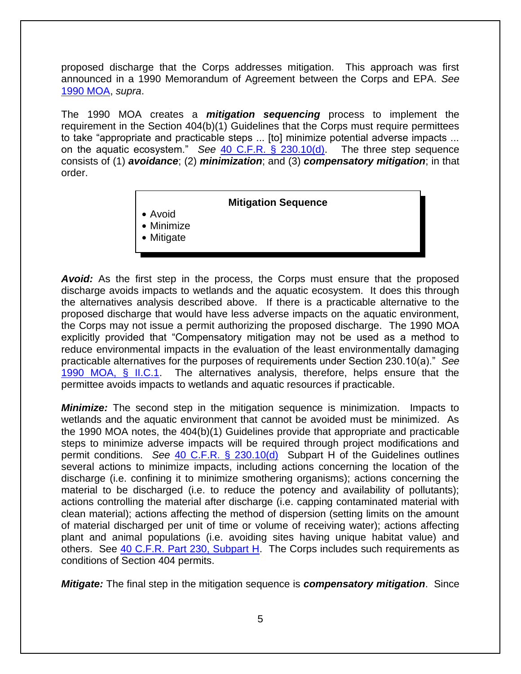proposed discharge that the Corps addresses mitigation. This approach was first announced in a 1990 Memorandum of Agreement between the Corps and EPA. *See*  [1990 MOA,](https://www.epa.gov/cwa-404/memorandum-agreemement-regarding-mitigation-under-cwa-section-404b1-guidelines-text) *supra*.

The 1990 MOA creates a *mitigation sequencing* process to implement the requirement in the Section 404(b)(1) Guidelines that the Corps must require permittees to take "appropriate and practicable steps ... [to] minimize potential adverse impacts ... on the aquatic ecosystem." *See* [40 C.F.R. § 230.10\(d\).](http://www.law.cornell.edu/cfr/text/40/230.10) The three step sequence consists of (1) *avoidance*; (2) *minimization*; and (3) *compensatory mitigation*; in that order.

#### **Mitigation Sequence**

- $\bullet$  Avoid
- $\bullet$  Minimize
- $\bullet$  Mitigate

**Avoid:** As the first step in the process, the Corps must ensure that the proposed discharge avoids impacts to wetlands and the aquatic ecosystem. It does this through the alternatives analysis described above. If there is a practicable alternative to the proposed discharge that would have less adverse impacts on the aquatic environment, the Corps may not issue a permit authorizing the proposed discharge. The 1990 MOA explicitly provided that "Compensatory mitigation may not be used as a method to reduce environmental impacts in the evaluation of the least environmentally damaging practicable alternatives for the purposes of requirements under Section 230.10(a)." *See* [1990 MOA, § II.C.1.](https://www.epa.gov/cwa-404/memorandum-agreemement-regarding-mitigation-under-cwa-section-404b1-guidelines-text) The alternatives analysis, therefore, helps ensure that the permittee avoids impacts to wetlands and aquatic resources if practicable.

*Minimize:* The second step in the mitigation sequence is minimization. Impacts to wetlands and the aquatic environment that cannot be avoided must be minimized. As the 1990 MOA notes, the 404(b)(1) Guidelines provide that appropriate and practicable steps to minimize adverse impacts will be required through project modifications and permit conditions. *See* [40 C.F.R. § 230.10\(d\)](http://www.law.cornell.edu/cfr/text/40/230.10) Subpart H of the Guidelines outlines several actions to minimize impacts, including actions concerning the location of the discharge (i.e. confining it to minimize smothering organisms); actions concerning the material to be discharged (i.e. to reduce the potency and availability of pollutants); actions controlling the material after discharge (i.e. capping contaminated material with clean material); actions affecting the method of dispersion (setting limits on the amount of material discharged per unit of time or volume of receiving water); actions affecting plant and animal populations (i.e. avoiding sites having unique habitat value) and others. See [40 C.F.R. Part 230, Subpart H.](http://www.law.cornell.edu/cfr/text/40/part-230/subpart-H) The Corps includes such requirements as conditions of Section 404 permits.

*Mitigate:* The final step in the mitigation sequence is *compensatory mitigation*. Since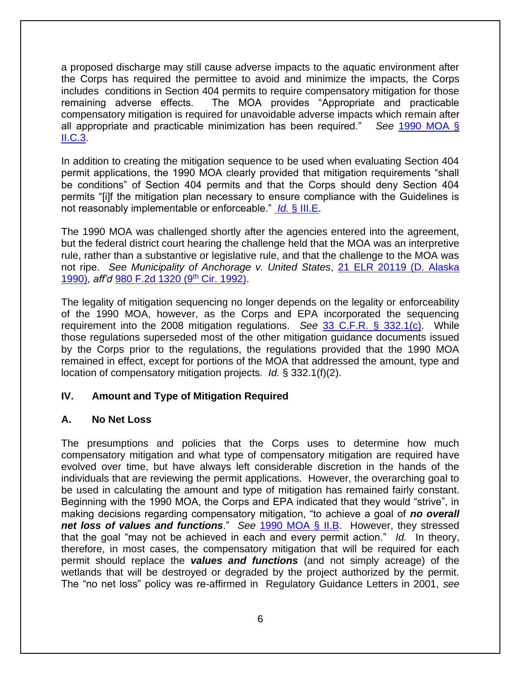a proposed discharge may still cause adverse impacts to the aquatic environment after the Corps has required the permittee to avoid and minimize the impacts, the Corps includes conditions in Section 404 permits to require compensatory mitigation for those remaining adverse effects. The MOA provides "Appropriate and practicable compensatory mitigation is required for unavoidable adverse impacts which remain after all appropriate and practicable minimization has been required." *See* [1990 MOA §](https://www.epa.gov/cwa-404/memorandum-agreemement-regarding-mitigation-under-cwa-section-404b1-guidelines-text)  [II.C.3.](https://www.epa.gov/cwa-404/memorandum-agreemement-regarding-mitigation-under-cwa-section-404b1-guidelines-text)

In addition to creating the mitigation sequence to be used when evaluating Section 404 permit applications, the 1990 MOA clearly provided that mitigation requirements "shall be conditions" of Section 404 permits and that the Corps should deny Section 404 permits "[i]f the mitigation plan necessary to ensure compliance with the Guidelines is not reasonably implementable or enforceable." *Id.* [§ III.E.](http://water.epa.gov/lawsregs/guidance/wetlands/mitigate.cfm)

The 1990 MOA was challenged shortly after the agencies entered into the agreement, but the federal district court hearing the challenge held that the MOA was an interpretive rule, rather than a substantive or legislative rule, and that the challenge to the MOA was not ripe. *See Municipality of Anchorage v. United States*, [21 ELR 20119 \(D. Alaska](http://elr.info/sites/default/files/litigation/21.20119.htm)  [1990\),](http://elr.info/sites/default/files/litigation/21.20119.htm) *aff'd* [980 F.2d 1320 \(9](http://law.justia.com/cases/federal/appellate-courts/F2/980/1320/335056/)th Cir. 1992).

The legality of mitigation sequencing no longer depends on the legality or enforceability of the 1990 MOA, however, as the Corps and EPA incorporated the sequencing requirement into the 2008 mitigation regulations. *See* [33 C.F.R. § 332.1\(c\).](http://www.law.cornell.edu/cfr/text/33/332.1) While those regulations superseded most of the other mitigation guidance documents issued by the Corps prior to the regulations, the regulations provided that the 1990 MOA remained in effect, except for portions of the MOA that addressed the amount, type and location of compensatory mitigation projects. *Id.* § 332.1(f)(2).

#### **IV. Amount and Type of Mitigation Required**

#### **A. No Net Loss**

The presumptions and policies that the Corps uses to determine how much compensatory mitigation and what type of compensatory mitigation are required have evolved over time, but have always left considerable discretion in the hands of the individuals that are reviewing the permit applications. However, the overarching goal to be used in calculating the amount and type of mitigation has remained fairly constant. Beginning with the 1990 MOA, the Corps and EPA indicated that they would "strive", in making decisions regarding compensatory mitigation, "to achieve a goal of *no overall net loss of values and functions*." *See* [1990 MOA § II.B.](https://www.epa.gov/cwa-404/memorandum-agreemement-regarding-mitigation-under-cwa-section-404b1-guidelines-text) However, they stressed that the goal "may not be achieved in each and every permit action." *Id.* In theory, therefore, in most cases, the compensatory mitigation that will be required for each permit should replace the *values and functions* (and not simply acreage) of the wetlands that will be destroyed or degraded by the project authorized by the permit. The "no net loss" policy was re-affirmed in Regulatory Guidance Letters in 2001, *see*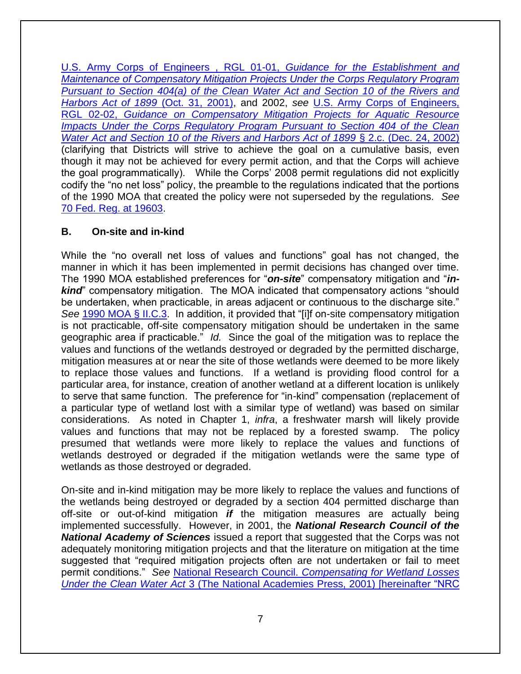[U.S. Army Corps of Engineers , RGL 01-01,](https://usace.contentdm.oclc.org/utils/getfile/collection/p16021coll9/id/1278) *Guidance for the Establishment and [Maintenance of Compensatory Mitigation Projects Under the Corps Regulatory Program](https://usace.contentdm.oclc.org/utils/getfile/collection/p16021coll9/id/1278)  [Pursuant to Section 404\(a\) of the Clean Water Act and Section 10 of the Rivers and](https://usace.contentdm.oclc.org/utils/getfile/collection/p16021coll9/id/1278)  [Harbors Act of 1899](https://usace.contentdm.oclc.org/utils/getfile/collection/p16021coll9/id/1278)* (Oct. 31, 2001), and 2002, *see* [U.S. Army Corps of Engineers,](https://usace.contentdm.oclc.org/utils/getfile/collection/p16021coll9/id/1249)  RGL 02-02, *Guidance [on Compensatory Mitigation Projects for Aquatic Resource](https://usace.contentdm.oclc.org/utils/getfile/collection/p16021coll9/id/1249)*  **Impacts Under the Corps Regulatory Program Pursuant to Section 404 of the Clean** *[Water Act and Section 10 of the Rivers and Harbors Act of 1899](https://usace.contentdm.oclc.org/utils/getfile/collection/p16021coll9/id/1249)* § 2.c. (Dec. 24, 2002) (clarifying that Districts will strive to achieve the goal on a cumulative basis, even though it may not be achieved for every permit action, and that the Corps will achieve the goal programmatically). While the Corps' 2008 permit regulations did not explicitly codify the "no net loss" policy, the preamble to the regulations indicated that the portions of the 1990 MOA that created the policy were not superseded by the regulations. *Se[e](http://www.epa.gov/sites/production/files/2015%2003/documents/2008_04_10_wetlands_wetlands_mitigation_final_rule_4_10_08.pdf)* [70 Fed. Reg. at 19603.](http://www.epa.gov/sites/production/files/2015%2003/documents/2008_04_10_wetlands_wetlands_mitigation_final_rule_4_10_08.pdf)

# **B. On-site and in-kind**

While the "no overall net loss of values and functions" goal has not changed, the manner in which it has been implemented in permit decisions has changed over time. The 1990 MOA established preferences for "*on-site*" compensatory mitigation and "*inkind*" compensatory mitigation. The MOA indicated that compensatory actions "should be undertaken, when practicable, in areas adjacent or continuous to the discharge site." *See* [1990 MOA § II.C.3.](https://www.epa.gov/cwa-404/memorandum-agreemement-regarding-mitigation-under-cwa-section-404b1-guidelines-text) In addition, it provided that "[i]f on-site compensatory mitigation is not practicable, off-site compensatory mitigation should be undertaken in the same geographic area if practicable." *Id.* Since the goal of the mitigation was to replace the values and functions of the wetlands destroyed or degraded by the permitted discharge, mitigation measures at or near the site of those wetlands were deemed to be more likely to replace those values and functions. If a wetland is providing flood control for a particular area, for instance, creation of another wetland at a different location is unlikely to serve that same function. The preference for "in-kind" compensation (replacement of a particular type of wetland lost with a similar type of wetland) was based on similar considerations. As noted in Chapter 1, *infra*, a freshwater marsh will likely provide values and functions that may not be replaced by a forested swamp. The policy presumed that wetlands were more likely to replace the values and functions of wetlands destroyed or degraded if the mitigation wetlands were the same type of wetlands as those destroyed or degraded.

On-site and in-kind mitigation may be more likely to replace the values and functions of the wetlands being destroyed or degraded by a section 404 permitted discharge than off-site or out-of-kind mitigation *if* the mitigation measures are actually being implemented successfully. However, in 2001, the *National Research Council of the National Academy of Sciences* issued a report that suggested that the Corps was not adequately monitoring mitigation projects and that the literature on mitigation at the time suggested that "required mitigation projects often are not undertaken or fail to meet permit conditions." *See* National Research Council. *[Compensating for Wetland Losses](http://www.nap.edu/openbook.php?isbn=0309074320)  Under the Clean Water Act* [3 \(The National Academies Press, 2001\) \[hereinafter "NRC](http://www.nap.edu/openbook.php?isbn=0309074320)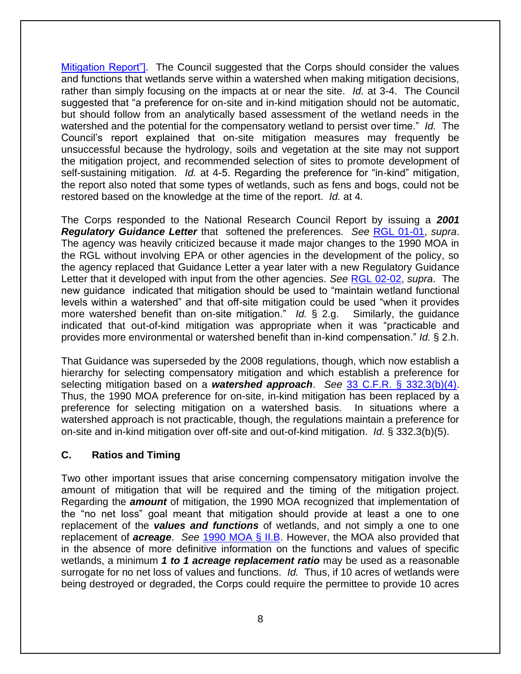[Mitigation Report"\].](http://www.nap.edu/openbook.php?isbn=0309074320) The Council suggested that the Corps should consider the values and functions that wetlands serve within a watershed when making mitigation decisions, rather than simply focusing on the impacts at or near the site. *Id.* at 3-4. The Council suggested that "a preference for on-site and in-kind mitigation should not be automatic, but should follow from an analytically based assessment of the wetland needs in the watershed and the potential for the compensatory wetland to persist over time." *Id.* The Council's report explained that on-site mitigation measures may frequently be unsuccessful because the hydrology, soils and vegetation at the site may not support the mitigation project, and recommended selection of sites to promote development of self-sustaining mitigation. *Id.* at 4-5. Regarding the preference for "in-kind" mitigation, the report also noted that some types of wetlands, such as fens and bogs, could not be restored based on the knowledge at the time of the report. *Id.* at 4*.* 

The Corps responded to the National Research Council Report by issuing a *2001 Regulatory Guidance Letter* that softened the preferences. *See* [RGL 01-01,](https://usace.contentdm.oclc.org/utils/getfile/collection/p16021coll9/id/1278) *supra*. The agency was heavily criticized because it made major changes to the 1990 MOA in the RGL without involving EPA or other agencies in the development of the policy, so the agency replaced that Guidance Letter a year later with a new Regulatory Guidance Letter that it developed with input from the other agencies. *See* [RGL 02-02,](https://usace.contentdm.oclc.org/utils/getfile/collection/p16021coll9/id/1249) *supra*. The new guidance indicated that mitigation should be used to "maintain wetland functional levels within a watershed" and that off-site mitigation could be used "when it provides more watershed benefit than on-site mitigation." *Id.* § 2.g. Similarly, the guidance indicated that out-of-kind mitigation was appropriate when it was "practicable and provides more environmental or watershed benefit than in-kind compensation." *Id.* § 2.h.

That Guidance was superseded by the 2008 regulations, though, which now establish a hierarchy for selecting compensatory mitigation and which establish a preference for selecting mitigation based on a *watershed approach*. *See* [33 C.F.R. § 332.3\(b\)\(4\).](http://www.law.cornell.edu/cfr/text/33/332.3) Thus, the 1990 MOA preference for on-site, in-kind mitigation has been replaced by a preference for selecting mitigation on a watershed basis. In situations where a watershed approach is not practicable, though, the regulations maintain a preference for on-site and in-kind mitigation over off-site and out-of-kind mitigation. *Id.* § 332.3(b)(5).

#### **C. Ratios and Timing**

Two other important issues that arise concerning compensatory mitigation involve the amount of mitigation that will be required and the timing of the mitigation project. Regarding the *amount* of mitigation, the 1990 MOA recognized that implementation of the "no net loss" goal meant that mitigation should provide at least a one to one replacement of the *values and functions* of wetlands, and not simply a one to one replacement of *acreage*. *See* [1990 MOA § II.B.](https://www.epa.gov/cwa-404/memorandum-agreemement-regarding-mitigation-under-cwa-section-404b1-guidelines-text) However, the MOA also provided that in the absence of more definitive information on the functions and values of specific wetlands, a minimum *1 to 1 acreage replacement ratio* may be used as a reasonable surrogate for no net loss of values and functions. *Id.* Thus, if 10 acres of wetlands were being destroyed or degraded, the Corps could require the permittee to provide 10 acres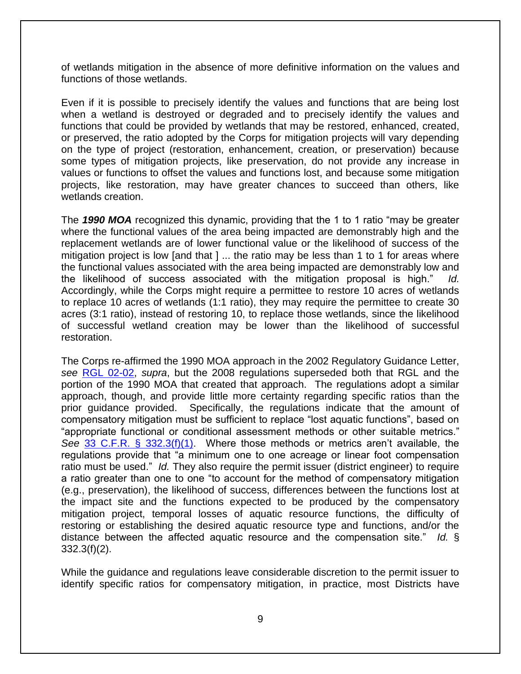of wetlands mitigation in the absence of more definitive information on the values and functions of those wetlands.

Even if it is possible to precisely identify the values and functions that are being lost when a wetland is destroyed or degraded and to precisely identify the values and functions that could be provided by wetlands that may be restored, enhanced, created, or preserved, the ratio adopted by the Corps for mitigation projects will vary depending on the type of project (restoration, enhancement, creation, or preservation) because some types of mitigation projects, like preservation, do not provide any increase in values or functions to offset the values and functions lost, and because some mitigation projects, like restoration, may have greater chances to succeed than others, like wetlands creation.

The *1990 MOA* recognized this dynamic, providing that the 1 to 1 ratio "may be greater where the functional values of the area being impacted are demonstrably high and the replacement wetlands are of lower functional value or the likelihood of success of the mitigation project is low [and that ] ... the ratio may be less than 1 to 1 for areas where the functional values associated with the area being impacted are demonstrably low and the likelihood of success associated with the mitigation proposal is high." *Id.*  Accordingly, while the Corps might require a permittee to restore 10 acres of wetlands to replace 10 acres of wetlands (1:1 ratio), they may require the permittee to create 30 acres (3:1 ratio), instead of restoring 10, to replace those wetlands, since the likelihood of successful wetland creation may be lower than the likelihood of successful restoration.

The Corps re-affirmed the 1990 MOA approach in the 2002 Regulatory Guidance Letter, *see* [RGL 02-02,](https://usace.contentdm.oclc.org/utils/getfile/collection/p16021coll9/id/1249) *supra*, but the 2008 regulations superseded both that RGL and the portion of the 1990 MOA that created that approach. The regulations adopt a similar approach, though, and provide little more certainty regarding specific ratios than the prior guidance provided. Specifically, the regulations indicate that the amount of compensatory mitigation must be sufficient to replace "lost aquatic functions", based on "appropriate functional or conditional assessment methods or other suitable metrics." *See* [33 C.F.R. § 332.3\(f\)\(1\).](http://www.law.cornell.edu/cfr/text/33/332.3) Where those methods or metrics aren't available, the regulations provide that "a minimum one to one acreage or linear foot compensation ratio must be used." *Id.* They also require the permit issuer (district engineer) to require a ratio greater than one to one "to account for the method of compensatory mitigation (e.g., preservation), the likelihood of success, differences between the functions lost at the impact site and the functions expected to be produced by the compensatory mitigation project, temporal losses of aquatic resource functions, the difficulty of restoring or establishing the desired aquatic resource type and functions, and/or the distance between the affected aquatic resource and the compensation site." *Id.* §  $332.3(f)(2)$ .

While the guidance and regulations leave considerable discretion to the permit issuer to identify specific ratios for compensatory mitigation, in practice, most Districts have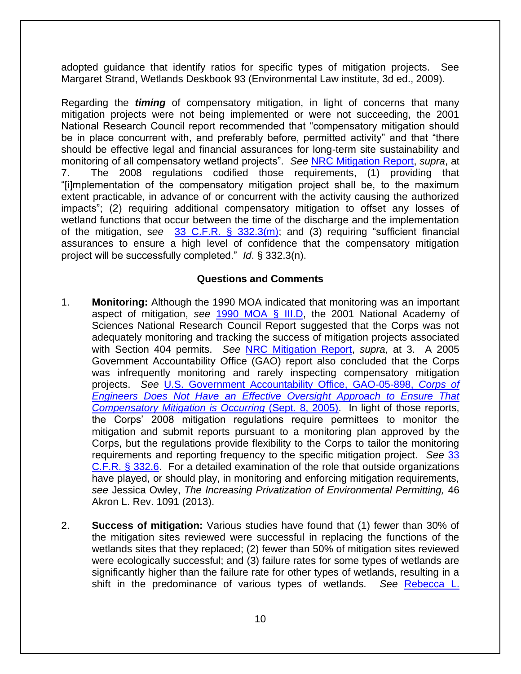adopted guidance that identify ratios for specific types of mitigation projects. See Margaret Strand, Wetlands Deskbook 93 (Environmental Law institute, 3d ed., 2009).

Regarding the *timing* of compensatory mitigation, in light of concerns that many mitigation projects were not being implemented or were not succeeding, the 2001 National Research Council report recommended that "compensatory mitigation should be in place concurrent with, and preferably before, permitted activity" and that "there should be effective legal and financial assurances for long-term site sustainability and monitoring of all compensatory wetland projects". *See* [NRC Mitigation Report,](http://www.nap.edu/openbook.php?isbn=0309074320) *supra*, at 7. The 2008 regulations codified those requirements, (1) providing that "[i]mplementation of the compensatory mitigation project shall be, to the maximum extent practicable, in advance of or concurrent with the activity causing the authorized impacts"; (2) requiring additional compensatory mitigation to offset any losses of wetland functions that occur between the time of the discharge and the implementation of the mitigation, s*ee* [33 C.F.R. § 332.3\(m\);](http://www.law.cornell.edu/cfr/text/33/332.3) and (3) requiring "sufficient financial assurances to ensure a high level of confidence that the compensatory mitigation project will be successfully completed." *Id*. § 332.3(n).

### **Questions and Comments**

- 1. **Monitoring:** Although the 1990 MOA indicated that monitoring was an important aspect of mitigation, *see* [1990 MOA § III.D,](https://www.epa.gov/cwa-404/memorandum-agreemement-regarding-mitigation-under-cwa-section-404b1-guidelines-text) the 2001 National Academy of Sciences National Research Council Report suggested that the Corps was not adequately monitoring and tracking the success of mitigation projects associated with Section 404 permits. *See* [NRC Mitigation Report,](http://www.nap.edu/openbook.php?isbn=0309074320) *supra*, at 3. A 2005 Government Accountability Office (GAO) report also concluded that the Corps was infrequently monitoring and rarely inspecting compensatory mitigation projects. *See* [U.S. Government Accountability Office, GAO-05-898,](http://www.gao.gov/assets/250/247675.pdf) *Corps of [Engineers Does Not Have an Effective Oversight Approach to Ensure That](http://www.gao.gov/assets/250/247675.pdf)  [Compensatory Mitigation is Occurring](http://www.gao.gov/assets/250/247675.pdf)* (Sept. 8, 2005). In light of those reports, the Corps' 2008 mitigation regulations require permittees to monitor the mitigation and submit reports pursuant to a monitoring plan approved by the Corps, but the regulations provide flexibility to the Corps to tailor the monitoring requirements and reporting frequency to the specific mitigation project. *See* [33](http://www.law.cornell.edu/cfr/text/33/332.6)  [C.F.R. § 332.6.](http://www.law.cornell.edu/cfr/text/33/332.6) For a detailed examination of the role that outside organizations have played, or should play, in monitoring and enforcing mitigation requirements, *see* Jessica Owley, *The Increasing Privatization of Environmental Permitting,* 46 Akron L. Rev. 1091 (2013).
- 2. **Success of mitigation:** Various studies have found that (1) fewer than 30% of the mitigation sites reviewed were successful in replacing the functions of the wetlands sites that they replaced; (2) fewer than 50% of mitigation sites reviewed were ecologically successful; and (3) failure rates for some types of wetlands are significantly higher than the failure rate for other types of wetlands, resulting in a shift in the predominance of various types of wetlands. *See* [Rebecca L.](https://jacksontetonplan.com/DocumentCenter/View/780/Kihslinger-RL-2008-PDF?bidId=)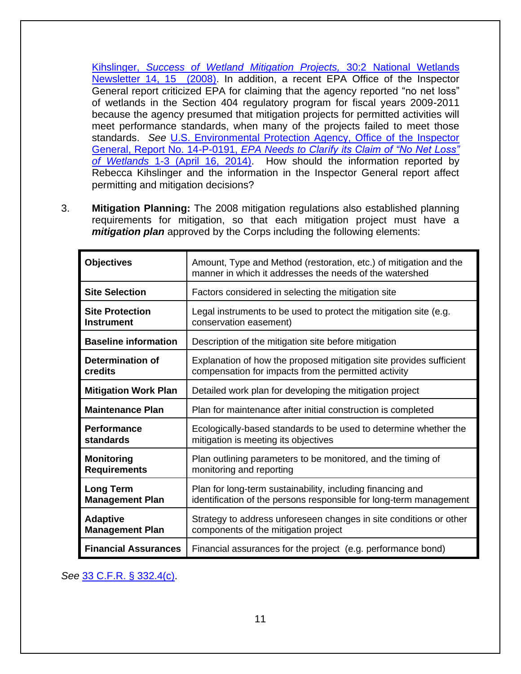Kihslinger, *[Success of Wetland Mitigation Projects,](https://jacksontetonplan.com/DocumentCenter/View/780/Kihslinger-RL-2008-PDF?bidId=)* 30:2 National Wetlands [Newsletter 14, 15 \(2008\).](https://jacksontetonplan.com/DocumentCenter/View/780/Kihslinger-RL-2008-PDF?bidId=) In addition, a recent EPA Office of the Inspector General report criticized EPA for claiming that the agency reported "no net loss" of wetlands in the Section 404 regulatory program for fiscal years 2009-2011 because the agency presumed that mitigation projects for permitted activities will meet performance standards, when many of the projects failed to meet those standards. *See* [U.S. Environmental Protection Agency, Office of the Inspector](https://web.archive.org/web/20170805030604/https:/www.epa.gov/sites/production/files/2015-09/documents/20140416-14-p-0191.pdf)  General, Report No. 14-P-0191, *[EPA Needs to Clarify its Claim of "No Net Loss"](https://web.archive.org/web/20170805030604/https:/www.epa.gov/sites/production/files/2015-09/documents/20140416-14-p-0191.pdf)  of Wetlands* [1-3 \(April 16, 2014\).](https://web.archive.org/web/20170805030604/https:/www.epa.gov/sites/production/files/2015-09/documents/20140416-14-p-0191.pdf) How should the information reported by Rebecca Kihslinger and the information in the Inspector General report affect permitting and mitigation decisions?

3. **Mitigation Planning:** The 2008 mitigation regulations also established planning requirements for mitigation, so that each mitigation project must have a *mitigation plan* approved by the Corps including the following elements:

| <b>Objectives</b>           | Amount, Type and Method (restoration, etc.) of mitigation and the<br>manner in which it addresses the needs of the watershed |
|-----------------------------|------------------------------------------------------------------------------------------------------------------------------|
| <b>Site Selection</b>       | Factors considered in selecting the mitigation site                                                                          |
| <b>Site Protection</b>      | Legal instruments to be used to protect the mitigation site (e.g.                                                            |
| <b>Instrument</b>           | conservation easement)                                                                                                       |
| <b>Baseline information</b> | Description of the mitigation site before mitigation                                                                         |
| Determination of            | Explanation of how the proposed mitigation site provides sufficient                                                          |
| credits                     | compensation for impacts from the permitted activity                                                                         |
| <b>Mitigation Work Plan</b> | Detailed work plan for developing the mitigation project                                                                     |
| <b>Maintenance Plan</b>     | Plan for maintenance after initial construction is completed                                                                 |
| <b>Performance</b>          | Ecologically-based standards to be used to determine whether the                                                             |
| standards                   | mitigation is meeting its objectives                                                                                         |
| <b>Monitoring</b>           | Plan outlining parameters to be monitored, and the timing of                                                                 |
| <b>Requirements</b>         | monitoring and reporting                                                                                                     |
| <b>Long Term</b>            | Plan for long-term sustainability, including financing and                                                                   |
| <b>Management Plan</b>      | identification of the persons responsible for long-term management                                                           |
| <b>Adaptive</b>             | Strategy to address unforeseen changes in site conditions or other                                                           |
| <b>Management Plan</b>      | components of the mitigation project                                                                                         |
| <b>Financial Assurances</b> | Financial assurances for the project (e.g. performance bond)                                                                 |

*See* [33 C.F.R. § 332.4\(c\).](http://www.law.cornell.edu/cfr/text/33/332.4)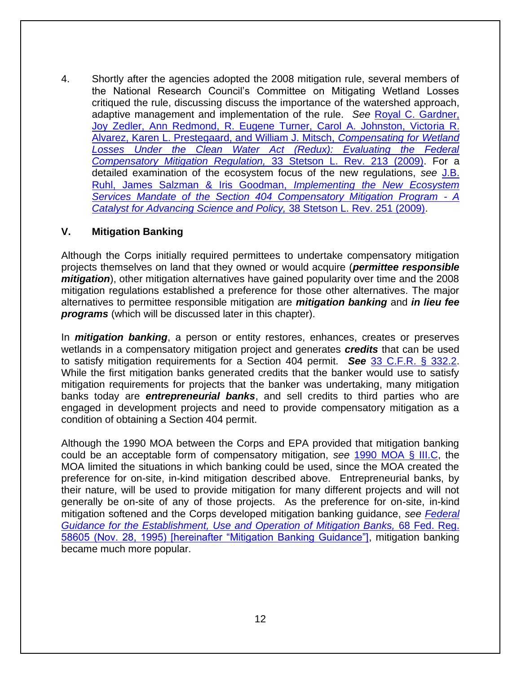4. Shortly after the agencies adopted the 2008 mitigation rule, several members of the National Research Council's Committee on Mitigating Wetland Losses critiqued the rule, discussing discuss the importance of the watershed approach, adaptive management and implementation of the rule. *See* [Royal C. Gardner,](http://www.stetson.edu/law/lawreview/media/38-2gardner-pdf.pdf)  [Joy Zedler, Ann Redmond, R. Eugene Turner, Carol A. Johnston, Victoria R.](http://www.stetson.edu/law/lawreview/media/38-2gardner-pdf.pdf)  [Alvarez, Karen L. Prestegaard, and William J. Mitsch,](http://www.stetson.edu/law/lawreview/media/38-2gardner-pdf.pdf) *Compensating for Wetland*  Losses Under the Clean Water Act (Redux): Evaluating the Federal *[Compensatory Mitigation Regulation,](http://www.stetson.edu/law/lawreview/media/38-2gardner-pdf.pdf)* 33 Stetson L. Rev. 213 (2009). For a detailed examination of the ecosystem focus of the new regulations, *see* [J.B.](http://www.stetson.edu/law/lawreview/media/38-2ruhl-pdf.pdf)  [Ruhl, James Salzman & Iris Goodman,](http://www.stetson.edu/law/lawreview/media/38-2ruhl-pdf.pdf) *Implementing the New Ecosystem [Services Mandate of the Section 404 Compensatory Mitigation Program](http://www.stetson.edu/law/lawreview/media/38-2ruhl-pdf.pdf) - A [Catalyst for Advancing Science and Policy,](http://www.stetson.edu/law/lawreview/media/38-2ruhl-pdf.pdf)* 38 Stetson L. Rev. 251 (2009).

#### **V. Mitigation Banking**

Although the Corps initially required permittees to undertake compensatory mitigation projects themselves on land that they owned or would acquire (*permittee responsible mitigation*), other mitigation alternatives have gained popularity over time and the 2008 mitigation regulations established a preference for those other alternatives. The major alternatives to permittee responsible mitigation are *mitigation banking* and *in lieu fee programs* (which will be discussed later in this chapter).

In *mitigation banking*, a person or entity restores, enhances, creates or preserves wetlands in a compensatory mitigation project and generates *credits* that can be used to satisfy mitigation requirements for a Section 404 permit. *See* [33 C.F.R. § 332.2.](http://www.law.cornell.edu/cfr/text/33/332.2) While the first mitigation banks generated credits that the banker would use to satisfy mitigation requirements for projects that the banker was undertaking, many mitigation banks today are *entrepreneurial banks*, and sell credits to third parties who are engaged in development projects and need to provide compensatory mitigation as a condition of obtaining a Section 404 permit.

Although the 1990 MOA between the Corps and EPA provided that mitigation banking could be an acceptable form of compensatory mitigation, *see* [1990 MOA § III.C,](https://www.epa.gov/cwa-404/memorandum-agreemement-regarding-mitigation-under-cwa-section-404b1-guidelines-text) the MOA limited the situations in which banking could be used, since the MOA created the preference for on-site, in-kind mitigation described above. Entrepreneurial banks, by their nature, will be used to provide mitigation for many different projects and will not generally be on-site of any of those projects. As the preference for on-site, in-kind mitigation softened and the Corps developed mitigation banking guidance, *see [Federal](https://www.federalregister.gov/documents/1995/11/28/95-28907/federal-guidance-for-the-establishment-use-and-operation-of-mitigation-banks)  [Guidance for the Establishment, Use and Operation of Mitigation Banks,](https://www.federalregister.gov/documents/1995/11/28/95-28907/federal-guidance-for-the-establishment-use-and-operation-of-mitigation-banks)* 68 Fed. Reg. [58605 \(Nov. 28, 1995\) \[hereinafter "Mitigation Banking Guidance"\],](https://www.federalregister.gov/documents/1995/11/28/95-28907/federal-guidance-for-the-establishment-use-and-operation-of-mitigation-banks) mitigation banking became much more popular.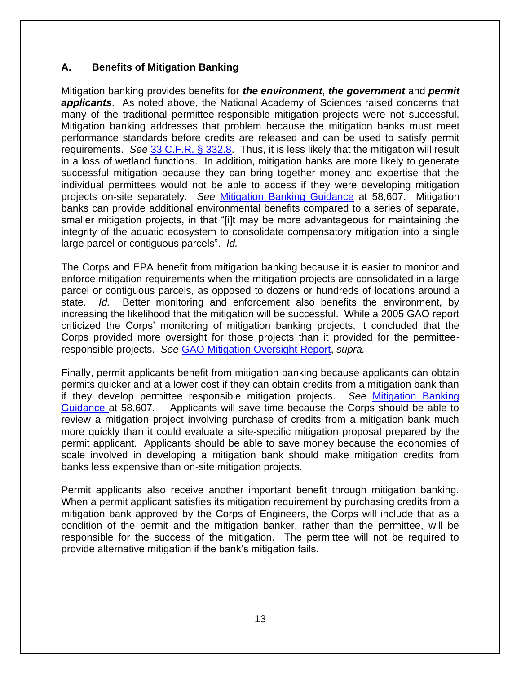# **A. Benefits of Mitigation Banking**

Mitigation banking provides benefits for *the environment*, *the government* and *permit applicants*. As noted above, the National Academy of Sciences raised concerns that many of the traditional permittee-responsible mitigation projects were not successful. Mitigation banking addresses that problem because the mitigation banks must meet performance standards before credits are released and can be used to satisfy permit requirements. *See* [33 C.F.R. § 332.8.](http://www.law.cornell.edu/cfr/text/33/332.8) Thus, it is less likely that the mitigation will result in a loss of wetland functions. In addition, mitigation banks are more likely to generate successful mitigation because they can bring together money and expertise that the individual permittees would not be able to access if they were developing mitigation projects on-site separately. *See* [Mitigation Banking Guidance](https://www.federalregister.gov/documents/1995/11/28/95-28907/federal-guidance-for-the-establishment-use-and-operation-of-mitigation-banks) at 58,607.Mitigation banks can provide additional environmental benefits compared to a series of separate, smaller mitigation projects, in that "[i]t may be more advantageous for maintaining the integrity of the aquatic ecosystem to consolidate compensatory mitigation into a single large parcel or contiguous parcels". *Id.* 

The Corps and EPA benefit from mitigation banking because it is easier to monitor and enforce mitigation requirements when the mitigation projects are consolidated in a large parcel or contiguous parcels, as opposed to dozens or hundreds of locations around a state. *Id.* Better monitoring and enforcement also benefits the environment, by increasing the likelihood that the mitigation will be successful. While a 2005 GAO report criticized the Corps' monitoring of mitigation banking projects, it concluded that the Corps provided more oversight for those projects than it provided for the permitteeresponsible projects. *See* [GAO Mitigation Oversight Report,](http://www.gao.gov/assets/250/247675.pdf) *supra.*

Finally, permit applicants benefit from mitigation banking because applicants can obtain permits quicker and at a lower cost if they can obtain credits from a mitigation bank than if they develop permittee responsible mitigation projects. *See* [Mitigation Banking](https://www.federalregister.gov/documents/1995/11/28/95-28907/federal-guidance-for-the-establishment-use-and-operation-of-mitigation-banks)  [Guidance a](https://www.federalregister.gov/documents/1995/11/28/95-28907/federal-guidance-for-the-establishment-use-and-operation-of-mitigation-banks)t 58,607. Applicants will save time because the Corps should be able to review a mitigation project involving purchase of credits from a mitigation bank much more quickly than it could evaluate a site-specific mitigation proposal prepared by the permit applicant. Applicants should be able to save money because the economies of scale involved in developing a mitigation bank should make mitigation credits from banks less expensive than on-site mitigation projects.

Permit applicants also receive another important benefit through mitigation banking. When a permit applicant satisfies its mitigation requirement by purchasing credits from a mitigation bank approved by the Corps of Engineers, the Corps will include that as a condition of the permit and the mitigation banker, rather than the permittee, will be responsible for the success of the mitigation. The permittee will not be required to provide alternative mitigation if the bank's mitigation fails.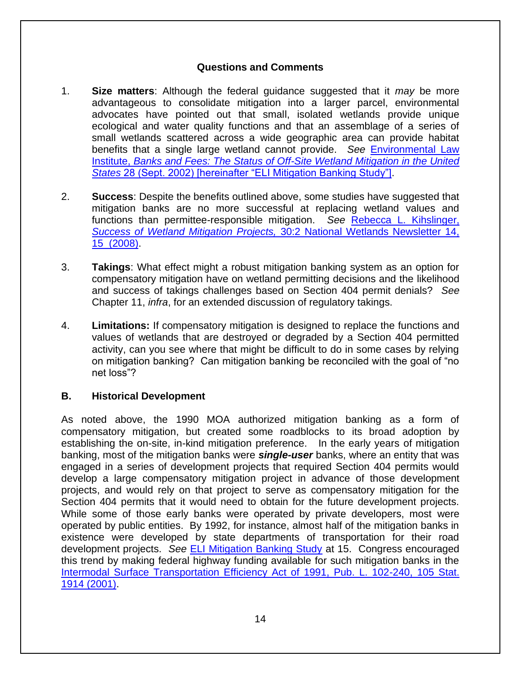# **Questions and Comments**

- 1. **Size matters**: Although the federal guidance suggested that it *may* be more advantageous to consolidate mitigation into a larger parcel, environmental advocates have pointed out that small, isolated wetlands provide unique ecological and water quality functions and that an assemblage of a series of small wetlands scattered across a wide geographic area can provide habitat benefits that a single large wetland cannot provide. *See* [Environmental Law](http://www.eli.org/sites/default/files/eli-pubs/d12_08.pdf)  Institute, *[Banks and Fees: The Status of Off-Site Wetland Mitigation in the United](http://www.eli.org/sites/default/files/eli-pubs/d12_08.pdf)  States* [28 \(Sept. 2002\) \[hereinafter "ELI Mitigation Banking Study"\].](http://www.eli.org/sites/default/files/eli-pubs/d12_08.pdf)
- 2. **Success**: Despite the benefits outlined above, some studies have suggested that mitigation banks are no more successful at replacing wetland values and functions than permittee-responsible mitigation. *See* [Rebecca L. Kihslinger,](https://jacksontetonplan.com/DocumentCenter/View/780/Kihslinger-RL-2008-PDF?bidId=)  *[Success of Wetland Mitigation Projects,](https://jacksontetonplan.com/DocumentCenter/View/780/Kihslinger-RL-2008-PDF?bidId=)* 30:2 National Wetlands Newsletter 14, [15 \(2008\).](https://jacksontetonplan.com/DocumentCenter/View/780/Kihslinger-RL-2008-PDF?bidId=)
- 3. **Takings**: What effect might a robust mitigation banking system as an option for compensatory mitigation have on wetland permitting decisions and the likelihood and success of takings challenges based on Section 404 permit denials? *See* Chapter 11, *infra*, for an extended discussion of regulatory takings.
- 4. **Limitations:** If compensatory mitigation is designed to replace the functions and values of wetlands that are destroyed or degraded by a Section 404 permitted activity, can you see where that might be difficult to do in some cases by relying on mitigation banking? Can mitigation banking be reconciled with the goal of "no net loss"?

# **B. Historical Development**

As noted above, the 1990 MOA authorized mitigation banking as a form of compensatory mitigation, but created some roadblocks to its broad adoption by establishing the on-site, in-kind mitigation preference. In the early years of mitigation banking, most of the mitigation banks were *single-user* banks, where an entity that was engaged in a series of development projects that required Section 404 permits would develop a large compensatory mitigation project in advance of those development projects, and would rely on that project to serve as compensatory mitigation for the Section 404 permits that it would need to obtain for the future development projects. While some of those early banks were operated by private developers, most were operated by public entities. By 1992, for instance, almost half of the mitigation banks in existence were developed by state departments of transportation for their road development projects. *See* [ELI Mitigation Banking Study](http://www.eli.org/sites/default/files/eli-pubs/d12_08.pdf) at 15. Congress encouraged this trend by making federal highway funding available for such mitigation banks in the [Intermodal Surface Transportation Efficiency Act of 1991, Pub. L. 102-240, 105 Stat.](http://thomas.loc.gov/cgi-bin/query/z?c102:H.R.2950.ENR:)  [1914 \(2001\).](http://thomas.loc.gov/cgi-bin/query/z?c102:H.R.2950.ENR:)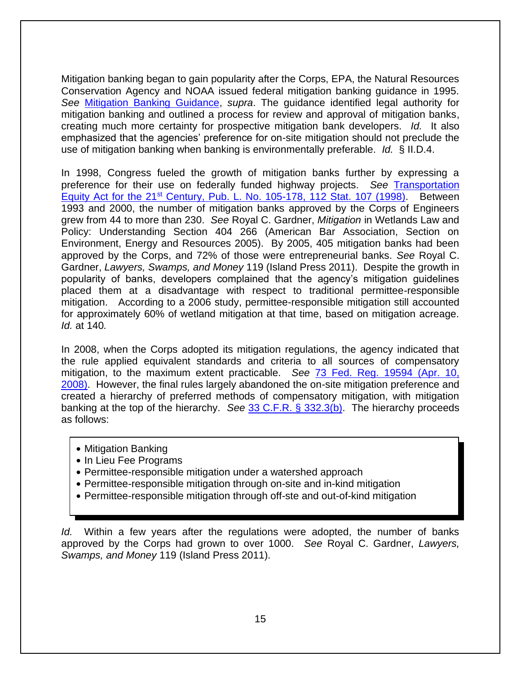Mitigation banking began to gain popularity after the Corps, EPA, the Natural Resources Conservation Agency and NOAA issued federal mitigation banking guidance in 1995. *See* [Mitigation Banking Guidance,](http://www.epa.gov/cwa%20404/historic%20compensatory%20mitigation%20guidance) *supra*. The guidance identified legal authority for mitigation banking and outlined a process for review and approval of mitigation banks, creating much more certainty for prospective mitigation bank developers. *Id.* It also emphasized that the agencies' preference for on-site mitigation should not preclude the use of mitigation banking when banking is environmentally preferable. *Id.* § II.D.4.

In 1998, Congress fueled the growth of mitigation banks further by expressing a preference for their use on federally funded highway projects. *See* [Transportation](http://www.gpo.gov/fdsys/pkg/PLAW-105publ178/html/PLAW-105publ178.htm)  Equity Act for the 21<sup>st</sup> [Century, Pub. L. No. 105-178, 112 Stat. 107 \(1998\).](http://www.gpo.gov/fdsys/pkg/PLAW-105publ178/html/PLAW-105publ178.htm) Between 1993 and 2000, the number of mitigation banks approved by the Corps of Engineers grew from 44 to more than 230. *See* Royal C. Gardner, *Mitigation* in Wetlands Law and Policy: Understanding Section 404 266 (American Bar Association, Section on Environment, Energy and Resources 2005). By 2005, 405 mitigation banks had been approved by the Corps, and 72% of those were entrepreneurial banks. *See* Royal C. Gardner, *Lawyers, Swamps, and Money* 119 (Island Press 2011). Despite the growth in popularity of banks, developers complained that the agency's mitigation guidelines placed them at a disadvantage with respect to traditional permittee-responsible mitigation. According to a 2006 study, permittee-responsible mitigation still accounted for approximately 60% of wetland mitigation at that time, based on mitigation acreage. *Id.* at 140*.* 

In 2008, when the Corps adopted its mitigation regulations, the agency indicated that the rule applied equivalent standards and criteria to all sources of compensatory mitigation, to the maximum extent practicable. *See* [73 Fed. Reg. 19594 \(Apr. 10,](http://www.epa.gov/sites/production/files/2015%2003/documents/2008_04_10_wetlands_wetlands_mitigation_final_rule_4_10_08.pdf)  [2008\).](http://www.epa.gov/sites/production/files/2015%2003/documents/2008_04_10_wetlands_wetlands_mitigation_final_rule_4_10_08.pdf) However, the final rules largely abandoned the on-site mitigation preference and created a hierarchy of preferred methods of compensatory mitigation, with mitigation banking at the top of the hierarchy. *See* [33 C.F.R. § 332.3\(b\).](http://www.law.cornell.edu/cfr/text/33/332.3) The hierarchy proceeds as follows:

- Mitigation Banking
- In Lieu Fee Programs
- Permittee-responsible mitigation under a watershed approach
- Permittee-responsible mitigation through on-site and in-kind mitigation
- Permittee-responsible mitigation through off-ste and out-of-kind mitigation

*Id.* Within a few years after the regulations were adopted, the number of banks approved by the Corps had grown to over 1000. *See* Royal C. Gardner, *Lawyers, Swamps, and Money* 119 (Island Press 2011).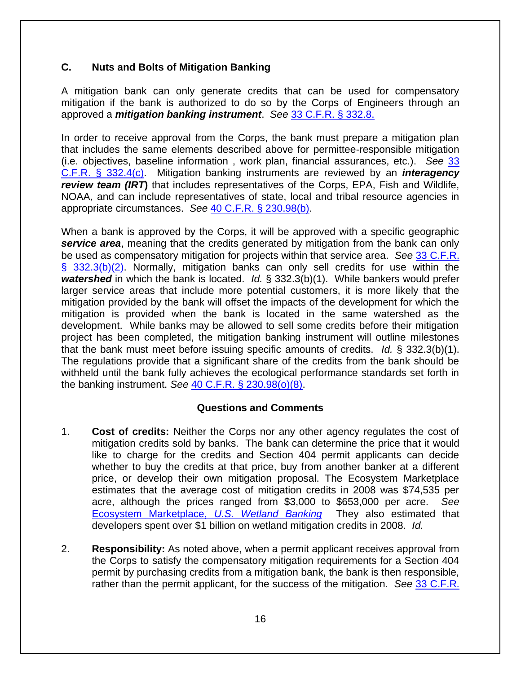# **C. Nuts and Bolts of Mitigation Banking**

A mitigation bank can only generate credits that can be used for compensatory mitigation if the bank is authorized to do so by the Corps of Engineers through an approved a *mitigation banking instrument*. *See* [33 C.F.R. § 332.8.](http://www.law.cornell.edu/cfr/text/33/332.8)

In order to receive approval from the Corps, the bank must prepare a mitigation plan that includes the same elements described above for permittee-responsible mitigation (i.e. objectives, baseline information , work plan, financial assurances, etc.). *See* [33](http://www.law.cornell.edu/cfr/text/33/332.4)  [C.F.R. § 332.4\(c\).](http://www.law.cornell.edu/cfr/text/33/332.4) Mitigation banking instruments are reviewed by an *interagency review team (IRT***)** that includes representatives of the Corps, EPA, Fish and Wildlife, NOAA, and can include representatives of state, local and tribal resource agencies in appropriate circumstances. *See* [40 C.F.R. § 230.98\(b\).](http://www.law.cornell.edu/cfr/text/40/230.98)

When a bank is approved by the Corps, it will be approved with a specific geographic **service area**, meaning that the credits generated by mitigation from the bank can only be used as compensatory mitigation for projects within that service area. *See* [33 C.F.R.](http://www.law.cornell.edu/cfr/text/33/332.3)  [§ 332.3\(b\)\(2\).](http://www.law.cornell.edu/cfr/text/33/332.3) Normally, mitigation banks can only sell credits for use within the *watershed* in which the bank is located. *Id.* § 332.3(b)(1). While bankers would prefer larger service areas that include more potential customers, it is more likely that the mitigation provided by the bank will offset the impacts of the development for which the mitigation is provided when the bank is located in the same watershed as the development. While banks may be allowed to sell some credits before their mitigation project has been completed, the mitigation banking instrument will outline milestones that the bank must meet before issuing specific amounts of credits. *Id.* § 332.3(b)(1). The regulations provide that a significant share of the credits from the bank should be withheld until the bank fully achieves the ecological performance standards set forth in the banking instrument. *See* [40 C.F.R. § 230.98\(o\)\(8\).](http://www.law.cornell.edu/cfr/text/40/230.98)

#### **Questions and Comments**

- 1. **Cost of credits:** Neither the Corps nor any other agency regulates the cost of mitigation credits sold by banks. The bank can determine the price that it would like to charge for the credits and Section 404 permit applicants can decide whether to buy the credits at that price, buy from another banker at a different price, or develop their own mitigation proposal. The Ecosystem Marketplace estimates that the average cost of mitigation credits in 2008 was \$74,535 per acre, although the prices ranged from \$3,000 to \$653,000 per acre. *See* [Ecosystem Marketplace,](https://web.archive.org/web/20150315112150/http:/www.ecosystemmarketplace.com/pages/dynamic/web.page.php?section=biodiversity_market&page_name=uswet_market) *U.S. Wetland Banking* They also estimated that developers spent over \$1 billion on wetland mitigation credits in 2008. *Id.*
- 2. **Responsibility:** As noted above, when a permit applicant receives approval from the Corps to satisfy the compensatory mitigation requirements for a Section 404 permit by purchasing credits from a mitigation bank, the bank is then responsible, rather than the permit applicant, for the success of the mitigation. *See* [33 C.F.R.](http://www.law.cornell.edu/cfr/text/33/332.2)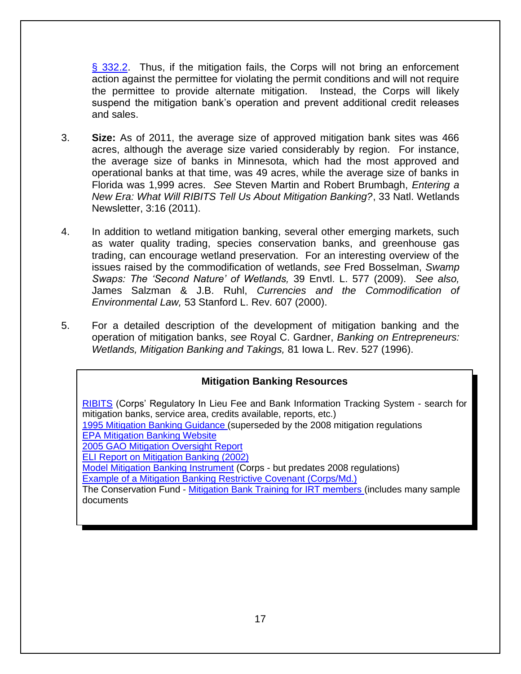[§ 332.2.](http://www.law.cornell.edu/cfr/text/33/332.2) Thus, if the mitigation fails, the Corps will not bring an enforcement action against the permittee for violating the permit conditions and will not require the permittee to provide alternate mitigation. Instead, the Corps will likely suspend the mitigation bank's operation and prevent additional credit releases and sales.

- 3. **Size:** As of 2011, the average size of approved mitigation bank sites was 466 acres, although the average size varied considerably by region. For instance, the average size of banks in Minnesota, which had the most approved and operational banks at that time, was 49 acres, while the average size of banks in Florida was 1,999 acres. *See* Steven Martin and Robert Brumbagh, *Entering a New Era: What Will RIBITS Tell Us About Mitigation Banking?*, 33 Natl. Wetlands Newsletter, 3:16 (2011).
- 4. In addition to wetland mitigation banking, several other emerging markets, such as water quality trading, species conservation banks, and greenhouse gas trading, can encourage wetland preservation. For an interesting overview of the issues raised by the commodification of wetlands, *see* Fred Bosselman, *Swamp Swaps: The 'Second Nature' of Wetlands,* 39 Envtl. L. 577 (2009). *See also,*  James Salzman & J.B. Ruhl, *Currencies and the Commodification of Environmental Law,* 53 Stanford L. Rev. 607 (2000).
- 5. For a detailed description of the development of mitigation banking and the operation of mitigation banks, *see* Royal C. Gardner, *Banking on Entrepreneurs: Wetlands, Mitigation Banking and Takings,* 81 Iowa L. Rev. 527 (1996).

# **Mitigation Banking Resources**

[RIBITS](https://ribits.ops.usace.army.mil/ords/f?p=107:2::::::) (Corps' Regulatory In Lieu Fee and Bank Information Tracking System - search for mitigation banks, service area, credits available, reports, etc.) [1995 Mitigation Banking Guidance \(](https://www.federalregister.gov/documents/1995/11/28/95-28907/federal-guidance-for-the-establishment-use-and-operation-of-mitigation-banks)superseded by the 2008 mitigation regulations [EPA Mitigation Banking Website](https://www.epa.gov/cwa-404/mitigation-banks-under-cwa-section-404) [2005 GAO Mitigation Oversight Report](http://www.gao.gov/assets/250/247675.pdf) [ELI Report on Mitigation Banking \(2002\)](http://www.eli.org/sites/default/files/eli-pubs/d12_08.pdf) [Model Mitigation Banking Instrument](http://www.iwr.usace.army.mil/Portals/70/docs/iwrreports/WMB-TP-1.pdf) (Corps - but predates 2008 regulations) [Example of a Mitigation Banking Restrictive Covenant \(Corps/Md.\)](http://www.nab.usace.army.mil/Portals/63/docs/Regulatory/Mitigation/MDE_Mit_Bank_Dec_Rest_Cov.pdf) The Conservation Fund - [Mitigation Bank Training for IRT members \(](http://www.conservationfund.org/what-we-do/conservation-leadership-network/our-services/training-resources-3rd-party-mitigation-interagency-review-team)includes many sample documents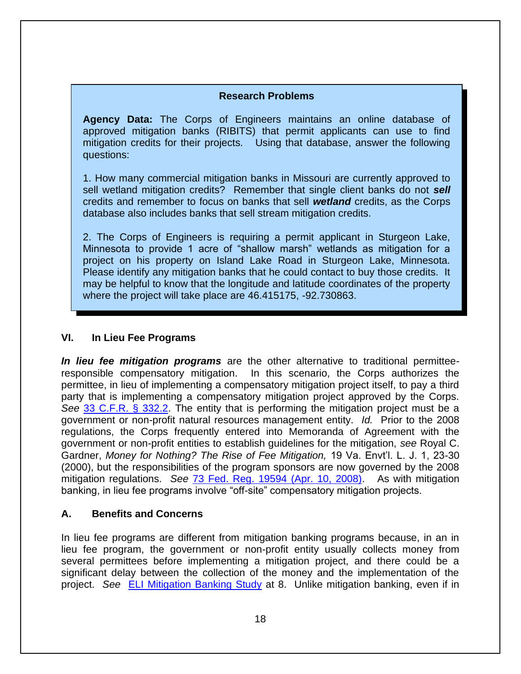#### **Research Problems**

**Agency Data:** The Corps of Engineers maintains an online database of approved mitigation banks (RIBITS) that permit applicants can use to find mitigation credits for their projects. Using that database, answer the following questions:

1. How many commercial mitigation banks in Missouri are currently approved to sell wetland mitigation credits? Remember that single client banks do not *sell* credits and remember to focus on banks that sell *wetland* credits, as the Corps database also includes banks that sell stream mitigation credits.

2. The Corps of Engineers is requiring a permit applicant in Sturgeon Lake, Minnesota to provide 1 acre of "shallow marsh" wetlands as mitigation for a project on his property on Island Lake Road in Sturgeon Lake, Minnesota. Please identify any mitigation banks that he could contact to buy those credits. It may be helpful to know that the longitude and latitude coordinates of the property where the project will take place are 46.415175, -92.730863.

# **VI. In Lieu Fee Programs**

*In lieu fee mitigation programs* are the other alternative to traditional permitteeresponsible compensatory mitigation. In this scenario, the Corps authorizes the permittee, in lieu of implementing a compensatory mitigation project itself, to pay a third party that is implementing a compensatory mitigation project approved by the Corps. *See* [33 C.F.R. § 332.2.](http://www.law.cornell.edu/cfr/text/33/332.2) The entity that is performing the mitigation project must be a government or non-profit natural resources management entity. *Id.* Prior to the 2008 regulations, the Corps frequently entered into Memoranda of Agreement with the government or non-profit entities to establish guidelines for the mitigation, *see* Royal C. Gardner, *Money for Nothing? The Rise of Fee Mitigation,* 19 Va. Envt'l. L. J. 1, 23-30 (2000), but the responsibilities of the program sponsors are now governed by the 2008 mitigation regulations. *See* [73 Fed. Reg. 19594 \(Apr. 10, 2008\).](http://www.epa.gov/sites/production/files/2015%2003/documents/2008_04_10_wetlands_wetlands_mitigation_final_rule_4_10_08.pdf) As with mitigation banking, in lieu fee programs involve "off-site" compensatory mitigation projects.

# **A. Benefits and Concerns**

In lieu fee programs are different from mitigation banking programs because, in an in lieu fee program, the government or non-profit entity usually collects money from several permittees before implementing a mitigation project, and there could be a significant delay between the collection of the money and the implementation of the project. *See* [ELI Mitigation Banking Study](http://www.eli.org/sites/default/files/eli-pubs/d12_08.pdf) at 8. Unlike mitigation banking, even if in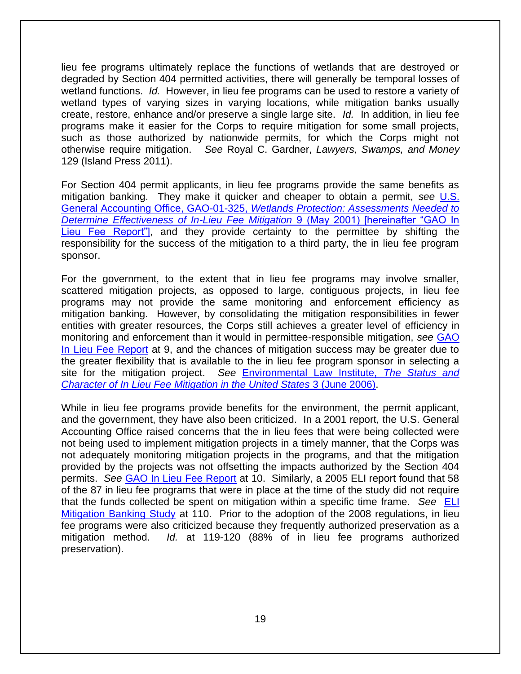lieu fee programs ultimately replace the functions of wetlands that are destroyed or degraded by Section 404 permitted activities, there will generally be temporal losses of wetland functions. *Id.* However, in lieu fee programs can be used to restore a variety of wetland types of varying sizes in varying locations, while mitigation banks usually create, restore, enhance and/or preserve a single large site. *Id.* In addition, in lieu fee programs make it easier for the Corps to require mitigation for some small projects, such as those authorized by nationwide permits, for which the Corps might not otherwise require mitigation. *See* Royal C. Gardner, *Lawyers, Swamps, and Money*  129 (Island Press 2011).

For Section 404 permit applicants, in lieu fee programs provide the same benefits as mitigation banking. They make it quicker and cheaper to obtain a permit, *see* [U.S.](http://www.gao.gov/assets/240/231490.pdf)  General Accounting Office, GAO-01-325, *[Wetlands Protection: Assessments Needed to](http://www.gao.gov/assets/240/231490.pdf)  [Determine Effectiveness of In-Lieu Fee Mitigation](http://www.gao.gov/assets/240/231490.pdf)* 9 (May 2001) [hereinafter "GAO In [Lieu Fee Report"\],](http://www.gao.gov/assets/240/231490.pdf) and they provide certainty to the permittee by shifting the responsibility for the success of the mitigation to a third party, the in lieu fee program sponsor.

For the government, to the extent that in lieu fee programs may involve smaller, scattered mitigation projects, as opposed to large, contiguous projects, in lieu fee programs may not provide the same monitoring and enforcement efficiency as mitigation banking. However, by consolidating the mitigation responsibilities in fewer entities with greater resources, the Corps still achieves a greater level of efficiency in monitoring and enforcement than it would in permittee-responsible mitigation, *see* [GAO](http://www.gao.gov/assets/240/231490.pdf)  [In Lieu Fee Report](http://www.gao.gov/assets/240/231490.pdf) at 9, and the chances of mitigation success may be greater due to the greater flexibility that is available to the in lieu fee program sponsor in selecting a site for the mitigation project. *See* [Environmental Law Institute,](http://www.eli.org/sites/default/files/eli-pubs/d16_04.pdf) *The Status and Character of In Lieu Fee [Mitigation in the United States](http://www.eli.org/sites/default/files/eli-pubs/d16_04.pdf)* 3 (June 2006).

While in lieu fee programs provide benefits for the environment, the permit applicant, and the government, they have also been criticized. In a 2001 report, the U.S. General Accounting Office raised concerns that the in lieu fees that were being collected were not being used to implement mitigation projects in a timely manner, that the Corps was not adequately monitoring mitigation projects in the programs, and that the mitigation provided by the projects was not offsetting the impacts authorized by the Section 404 permits. *See* [GAO In Lieu Fee Report](http://www.gao.gov/assets/240/231490.pdf) at 10. Similarly, a 2005 ELI report found that 58 of the 87 in lieu fee programs that were in place at the time of the study did not require that the funds collected be spent on mitigation within a specific time frame. *See* [ELI](http://www.eli.org/sites/default/files/eli-pubs/d12_08.pdf)  [Mitigation Banking Study](http://www.eli.org/sites/default/files/eli-pubs/d12_08.pdf) at 110. Prior to the adoption of the 2008 regulations, in lieu fee programs were also criticized because they frequently authorized preservation as a mitigation method. *Id.* at 119-120 (88% of in lieu fee programs authorized preservation).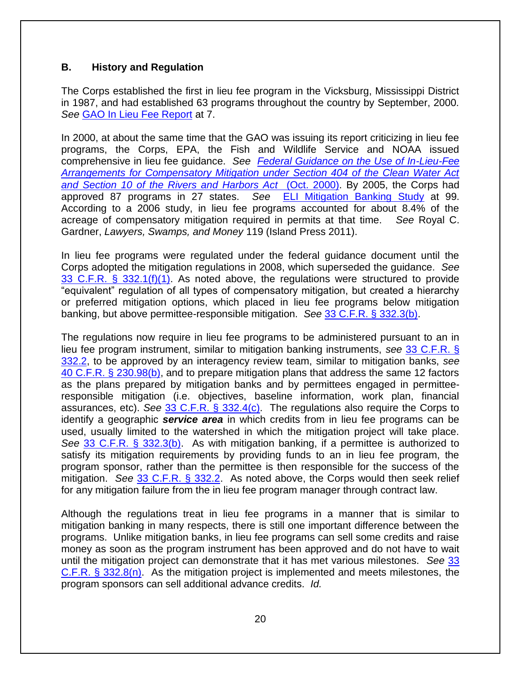### **B. History and Regulation**

The Corps established the first in lieu fee program in the Vicksburg, Mississippi District in 1987, and had established 63 programs throughout the country by September, 2000. *See* [GAO In Lieu Fee Report](http://www.gao.gov/assets/240/231490.pdf) at 7.

In 2000, at about the same time that the GAO was issuing its report criticizing in lieu fee programs, the Corps, EPA, the Fish and Wildlife Service and NOAA issued comprehensive in lieu fee guidance. *See [Federal Guidance on the Use of In-Lieu-Fee](http://www.fws.gov/habitatconservation/corps%20in-lieu-fee%20guidance.pdf)  [Arrangements for Compensatory Mitigation under Section 404 of the Clean Water Act](http://www.fws.gov/habitatconservation/corps%20in-lieu-fee%20guidance.pdf)  [and Section 10 of the Rivers and Harbors Act](http://www.fws.gov/habitatconservation/corps%20in-lieu-fee%20guidance.pdf)* (Oct. 2000). By 2005, the Corps had approved 87 programs in 27 states. *See* [ELI Mitigation Banking Study](http://www.eli.org/sites/default/files/eli-pubs/d12_08.pdf) at 99. According to a 2006 study, in lieu fee programs accounted for about 8.4% of the acreage of compensatory mitigation required in permits at that time. *See* Royal C. Gardner, *Lawyers, Swamps, and Money* 119 (Island Press 2011).

In lieu fee programs were regulated under the federal guidance document until the Corps adopted the mitigation regulations in 2008, which superseded the guidance. *See* [33 C.F.R. § 332.1\(f\)\(1\).](http://www.law.cornell.edu/cfr/text/33/332.1) As noted above, the regulations were structured to provide "equivalent" regulation of all types of compensatory mitigation, but created a hierarchy or preferred mitigation options, which placed in lieu fee programs below mitigation banking, but above permittee-responsible mitigation. *See* [33 C.F.R. § 332.3\(b\).](http://www.law.cornell.edu/cfr/text/33/332.3)

The regulations now require in lieu fee programs to be administered pursuant to an in lieu fee program instrument, similar to mitigation banking instruments, *see* [33 C.F.R. §](http://www.law.cornell.edu/cfr/text/33/332.2)  [332.2,](http://www.law.cornell.edu/cfr/text/33/332.2) to be approved by an interagency review team, similar to mitigation banks, *see*  [40 C.F.R. § 230.98\(b\),](http://www.law.cornell.edu/cfr/text/40/230.98) and to prepare mitigation plans that address the same 12 factors as the plans prepared by mitigation banks and by permittees engaged in permitteeresponsible mitigation (i.e. objectives, baseline information, work plan, financial assurances, etc). *See* [33 C.F.R. § 332.4\(c\).](http://www.law.cornell.edu/cfr/text/33/332.4) The regulations also require the Corps to identify a geographic *service area* in which credits from in lieu fee programs can be used, usually limited to the watershed in which the mitigation project will take place. *See* [33 C.F.R. § 332.3\(b\).](http://www.law.cornell.edu/cfr/text/33/332.3) As with mitigation banking, if a permittee is authorized to satisfy its mitigation requirements by providing funds to an in lieu fee program, the program sponsor, rather than the permittee is then responsible for the success of the mitigation. *See* [33 C.F.R. § 332.2.](http://www.law.cornell.edu/cfr/text/33/332.2) As noted above, the Corps would then seek relief for any mitigation failure from the in lieu fee program manager through contract law.

Although the regulations treat in lieu fee programs in a manner that is similar to mitigation banking in many respects, there is still one important difference between the programs. Unlike mitigation banks, in lieu fee programs can sell some credits and raise money as soon as the program instrument has been approved and do not have to wait until the mitigation project can demonstrate that it has met various milestones. *See* [33](http://www.law.cornell.edu/cfr/text/33/332.8)  [C.F.R. § 332.8\(n\).](http://www.law.cornell.edu/cfr/text/33/332.8) As the mitigation project is implemented and meets milestones, the program sponsors can sell additional advance credits. *Id.*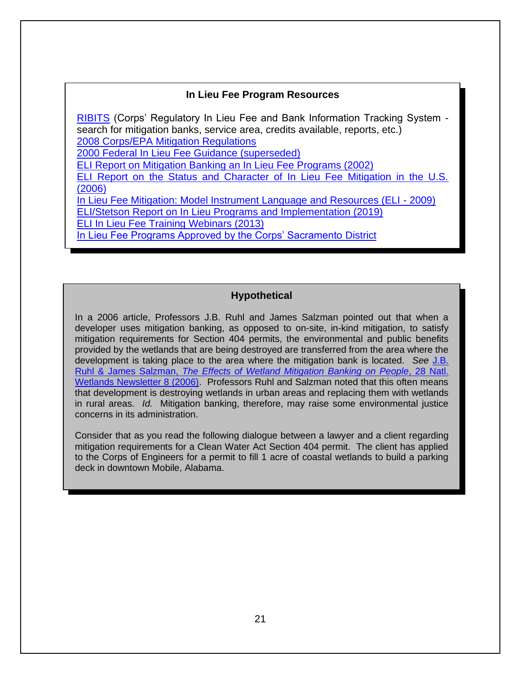# **In Lieu Fee Program Resources**

[RIBITS](https://ribits.ops.usace.army.mil/ords/f?p=107:2::::::) (Corps' Regulatory In Lieu Fee and Bank Information Tracking System search for mitigation banks, service area, credits available, reports, etc.) [2008 Corps/EPA Mitigation Regulations](https://www.sac.usace.army.mil/Portals/43/docs/regulatory/Final_Mitigation_Rule.pdf) 2000 Federal In [Lieu Fee Guidance \(superseded\)](http://www.fws.gov/habitatconservation/corps%20in-lieu-fee%20guidance.pdf) [ELI Report on Mitigation Banking an In Lieu Fee Programs \(2002\)](http://www.eli.org/sites/default/files/eli-pubs/d12_08.pdf)  [ELI Report on the Status and Character of In Lieu Fee Mitigation in the U.S.](http://www.eli.org/sites/default/files/eli-pubs/d16_04.pdf)  [\(2006\)](http://www.eli.org/sites/default/files/eli-pubs/d16_04.pdf) [In Lieu Fee Mitigation: Model Instrument Language and Resources \(ELI -](http://www.eli.org/sites/default/files/eli-pubs/d19-15.pdf) 2009) [ELI/Stetson Report on In Lieu Programs and Implementation \(2019\)](https://www.eli.org/sites/default/files/eli-pubs/lieu-fee-mitigation-review-program-instruments-and-implementation-across-country.pdf) [ELI In Lieu Fee Training Webinars \(2013\)](http://www.eli.org/events/2013-in-lieu-fee-mitigation-training-webinar-series)  [In Lieu Fee Programs Approved by the Corps' Sacramento](http://www.spk.usace.army.mil/Missions/Regulatory/Mitigation/InLieuFeePrograms.aspx) District

### **Hypothetical**

In a 2006 article, Professors J.B. Ruhl and James Salzman pointed out that when a developer uses mitigation banking, as opposed to on-site, in-kind mitigation, to satisfy mitigation requirements for Section 404 permits, the environmental and public benefits provided by the wetlands that are being destroyed are transferred from the area where the development is taking place to the area where the mitigation bank is located. *See* [J.B.](http://papers.ssrn.com/sol3/Delivery.cfm/SSRN_ID1344430_code327310.pdf?abstractid=878331&mirid=2)  Ruhl & James Salzman, *[The Effects of Wetland Mitigation Banking on People](http://papers.ssrn.com/sol3/Delivery.cfm/SSRN_ID1344430_code327310.pdf?abstractid=878331&mirid=2)*, 28 Natl. [Wetlands Newsletter 8 \(2006\).](http://papers.ssrn.com/sol3/Delivery.cfm/SSRN_ID1344430_code327310.pdf?abstractid=878331&mirid=2) Professors Ruhl and Salzman noted that this often means that development is destroying wetlands in urban areas and replacing them with wetlands in rural areas. *Id.* Mitigation banking, therefore, may raise some environmental justice concerns in its administration.

Consider that as you read the following dialogue between a lawyer and a client regarding mitigation requirements for a Clean Water Act Section 404 permit. The client has applied to the Corps of Engineers for a permit to fill 1 acre of coastal wetlands to build a parking deck in downtown Mobile, Alabama.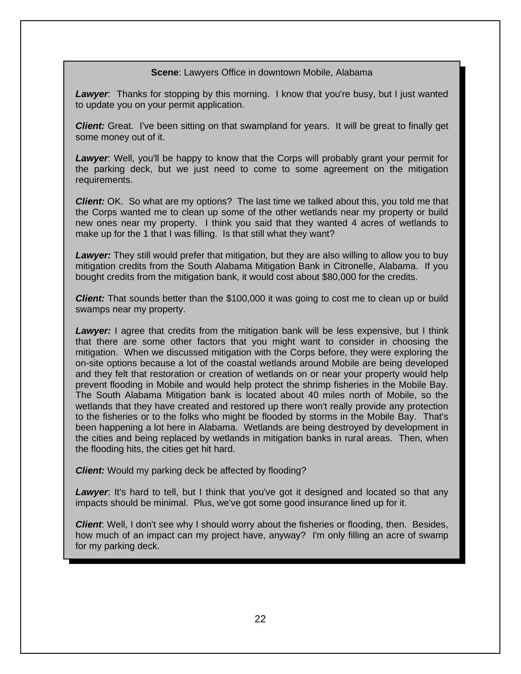#### **Scene**: Lawyers Office in downtown Mobile, Alabama

**Lawyer**: Thanks for stopping by this morning. I know that you're busy, but I just wanted to update you on your permit application.

**Client:** Great. I've been sitting on that swampland for years. It will be great to finally get some money out of it.

*Lawyer*: Well, you'll be happy to know that the Corps will probably grant your permit for the parking deck, but we just need to come to some agreement on the mitigation requirements.

*Client:* OK. So what are my options? The last time we talked about this, you told me that the Corps wanted me to clean up some of the other wetlands near my property or build new ones near my property. I think you said that they wanted 4 acres of wetlands to make up for the 1 that I was filling. Is that still what they want?

**Lawyer:** They still would prefer that mitigation, but they are also willing to allow you to buy mitigation credits from the South Alabama Mitigation Bank in Citronelle, Alabama. If you bought credits from the mitigation bank, it would cost about \$80,000 for the credits.

*Client:* That sounds better than the \$100,000 it was going to cost me to clean up or build swamps near my property.

**Lawyer:** I agree that credits from the mitigation bank will be less expensive, but I think that there are some other factors that you might want to consider in choosing the mitigation. When we discussed mitigation with the Corps before, they were exploring the on-site options because a lot of the coastal wetlands around Mobile are being developed and they felt that restoration or creation of wetlands on or near your property would help prevent flooding in Mobile and would help protect the shrimp fisheries in the Mobile Bay. The South Alabama Mitigation bank is located about 40 miles north of Mobile, so the wetlands that they have created and restored up there won't really provide any protection to the fisheries or to the folks who might be flooded by storms in the Mobile Bay. That's been happening a lot here in Alabama. Wetlands are being destroyed by development in the cities and being replaced by wetlands in mitigation banks in rural areas. Then, when the flooding hits, the cities get hit hard.

*Client:* Would my parking deck be affected by flooding?

**Lawyer:** It's hard to tell, but I think that you've got it designed and located so that any impacts should be minimal. Plus, we've got some good insurance lined up for it.

*Client*: Well, I don't see why I should worry about the fisheries or flooding, then. Besides, how much of an impact can my project have, anyway? I'm only filling an acre of swamp for my parking deck.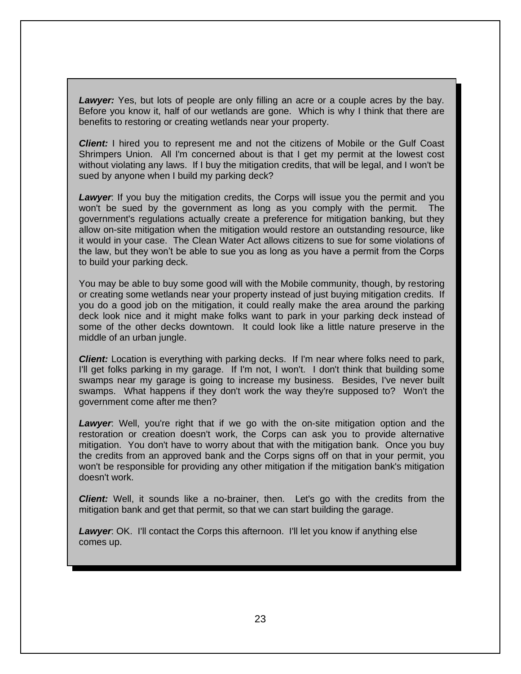**Lawyer:** Yes, but lots of people are only filling an acre or a couple acres by the bay. Before you know it, half of our wetlands are gone. Which is why I think that there are benefits to restoring or creating wetlands near your property.

*Client:* I hired you to represent me and not the citizens of Mobile or the Gulf Coast Shrimpers Union. All I'm concerned about is that I get my permit at the lowest cost without violating any laws. If I buy the mitigation credits, that will be legal, and I won't be sued by anyone when I build my parking deck?

**Lawyer**: If you buy the mitigation credits, the Corps will issue you the permit and you won't be sued by the government as long as you comply with the permit. The government's regulations actually create a preference for mitigation banking, but they allow on-site mitigation when the mitigation would restore an outstanding resource, like it would in your case. The Clean Water Act allows citizens to sue for some violations of the law, but they won't be able to sue you as long as you have a permit from the Corps to build your parking deck.

You may be able to buy some good will with the Mobile community, though, by restoring or creating some wetlands near your property instead of just buying mitigation credits. If you do a good job on the mitigation, it could really make the area around the parking deck look nice and it might make folks want to park in your parking deck instead of some of the other decks downtown. It could look like a little nature preserve in the middle of an urban jungle.

*Client:* Location is everything with parking decks. If I'm near where folks need to park, I'll get folks parking in my garage. If I'm not, I won't. I don't think that building some swamps near my garage is going to increase my business. Besides, I've never built swamps. What happens if they don't work the way they're supposed to? Won't the government come after me then?

**Lawyer**: Well, you're right that if we go with the on-site mitigation option and the restoration or creation doesn't work, the Corps can ask you to provide alternative mitigation. You don't have to worry about that with the mitigation bank. Once you buy the credits from an approved bank and the Corps signs off on that in your permit, you won't be responsible for providing any other mitigation if the mitigation bank's mitigation doesn't work.

*Client:* Well, it sounds like a no-brainer, then. Let's go with the credits from the mitigation bank and get that permit, so that we can start building the garage.

**Lawyer:** OK. I'll contact the Corps this afternoon. I'll let you know if anything else comes up.